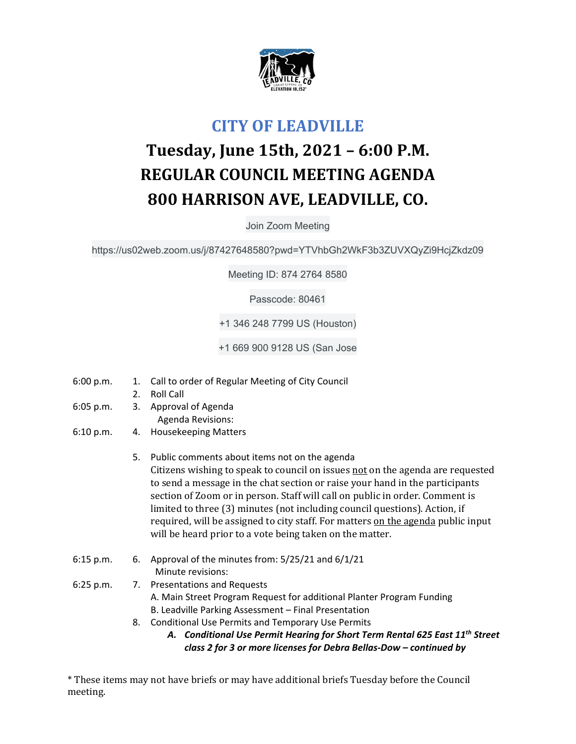

## **CITY OF LEADVILLE**

## **Tuesday, June 15th, 2021 – 6:00 P.M. REGULAR COUNCIL MEETING AGENDA 800 HARRISON AVE, LEADVILLE, CO.**

Join Zoom Meeting

https://us02web.zoom.us/j/87427648580?pwd=YTVhbGh2WkF3b3ZUVXQyZi9HcjZkdz09

Meeting ID: 874 2764 8580

Passcode: 80461

+1 346 248 7799 US (Houston)

+1 669 900 9128 US (San Jose

- 6:00 p.m. 1. Call to order of Regular Meeting of City Council
	- 2. Roll Call
- 6:05 p.m. 3. Approval of Agenda Agenda Revisions:
- 6:10 p.m. 4. Housekeeping Matters
	- 5. Public comments about items not on the agenda Citizens wishing to speak to council on issues not on the agenda are requested to send a message in the chat section or raise your hand in the participants section of Zoom or in person. Staff will call on public in order. Comment is limited to three (3) minutes (not including council questions). Action, if required, will be assigned to city staff. For matters on the agenda public input will be heard prior to a vote being taken on the matter.
- 6:15 p.m.  $\,$  6. Approval of the minutes from:  $5/25/21$  and  $6/1/21$ Minute revisions:
- 6:25 p.m. 7. Presentations and Requests A. Main Street Program Request for additional Planter Program Funding B. Leadville Parking Assessment – Final Presentation
	- 8. Conditional Use Permits and Temporary Use Permits
		- *A. Conditional Use Permit Hearing for Short Term Rental 625 East 11th Street class 2 for 3 or more licenses for Debra Bellas‐Dow – continued by*

\* These items may not have briefs or may have additional briefs Tuesday before the Council meeting.